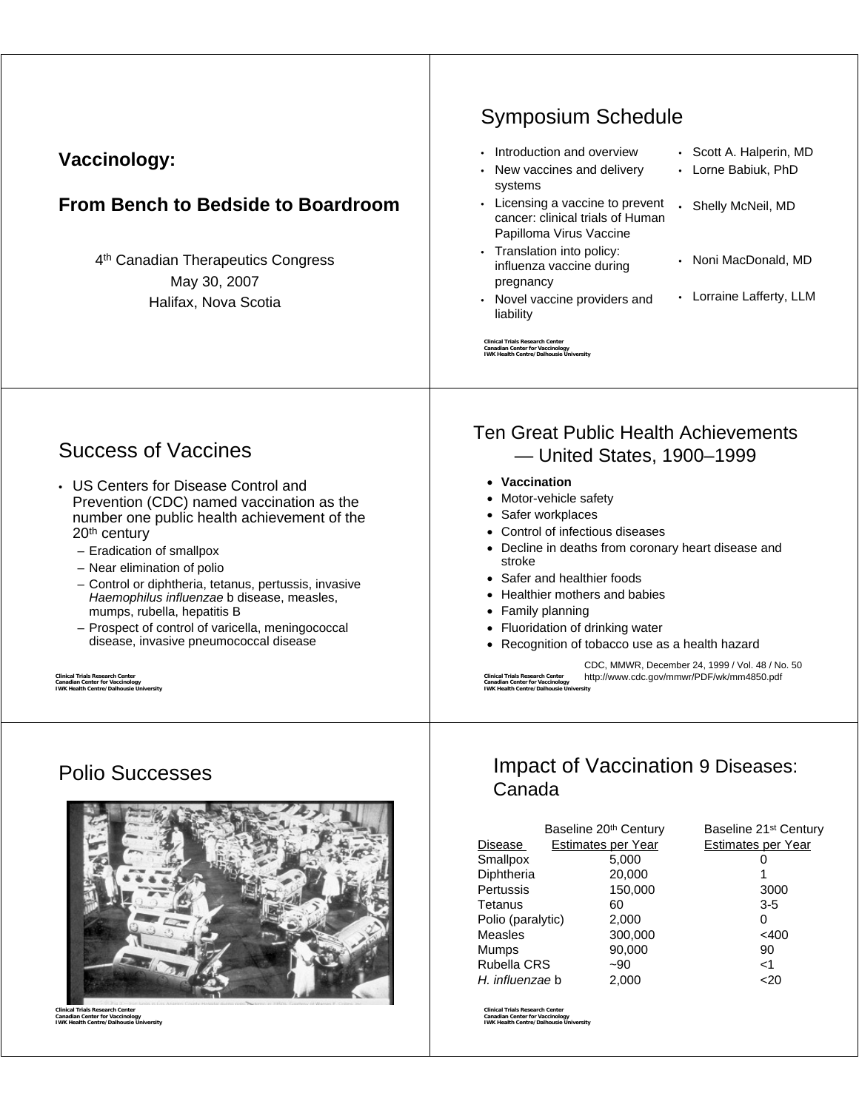| <b>Vaccinology:</b><br>From Bench to Bedside to Boardroom<br>4 <sup>th</sup> Canadian Therapeutics Congress<br>May 30, 2007<br>Halifax, Nova Scotia                                                                                                                                                                                                                                                                                                                                                                                                                                                                              | <b>Symposium Schedule</b><br>• Introduction and overview<br>• Scott A. Halperin, MD<br>• Lorne Babiuk, PhD<br>New vaccines and delivery<br>systems<br>• Licensing a vaccine to prevent<br>Shelly McNeil, MD<br>$\bullet$<br>cancer: clinical trials of Human<br>Papilloma Virus Vaccine<br>• Translation into policy:<br>• Noni MacDonald, MD<br>influenza vaccine during<br>pregnancy<br>• Lorraine Lafferty, LLM<br>• Novel vaccine providers and<br>liability<br><b>Clinical Trials Research Center</b><br><b>Canadian Center for Vaccinology</b><br><b>IWK Health Centre/Dalhousie University</b>                                                             |
|----------------------------------------------------------------------------------------------------------------------------------------------------------------------------------------------------------------------------------------------------------------------------------------------------------------------------------------------------------------------------------------------------------------------------------------------------------------------------------------------------------------------------------------------------------------------------------------------------------------------------------|-------------------------------------------------------------------------------------------------------------------------------------------------------------------------------------------------------------------------------------------------------------------------------------------------------------------------------------------------------------------------------------------------------------------------------------------------------------------------------------------------------------------------------------------------------------------------------------------------------------------------------------------------------------------|
| <b>Success of Vaccines</b><br>• US Centers for Disease Control and<br>Prevention (CDC) named vaccination as the<br>number one public health achievement of the<br>20 <sup>th</sup> century<br>- Eradication of smallpox<br>- Near elimination of polio<br>- Control or diphtheria, tetanus, pertussis, invasive<br>Haemophilus influenzae b disease, measles,<br>mumps, rubella, hepatitis B<br>- Prospect of control of varicella, meningococcal<br>disease, invasive pneumococcal disease<br><b>Clinical Trials Research Center</b><br><b>Canadian Center for Vaccinology</b><br><b>IWK Health Centre/Dalhousie University</b> | <b>Ten Great Public Health Achievements</b><br>- United States, 1900-1999<br>• Vaccination<br>• Motor-vehicle safety<br>• Safer workplaces<br>• Control of infectious diseases<br>• Decline in deaths from coronary heart disease and<br>stroke<br>• Safer and healthier foods<br>• Healthier mothers and babies<br>• Family planning<br>• Fluoridation of drinking water<br>• Recognition of tobacco use as a health hazard<br>CDC, MMWR, December 24, 1999 / Vol. 48 / No. 50<br>http://www.cdc.gov/mmwr/PDF/wk/mm4850.pdf<br><b>Clinical Trials Research Center</b><br><b>Canadian Center for Vaccinology</b><br><b>IWK Health Centre/Dalhousie University</b> |

# Polio Successes



**Clinical Trials Research Center Canadian Center for Vaccinology IWK Health Centre/Dalhousie University**

#### Impact of Vaccination 9 Diseases: Canada

|                    | Baseline 20th Century | Baseline 21 <sup>st</sup> Century |
|--------------------|-----------------------|-----------------------------------|
| Disease            | Estimates per Year    | Estimates per Year                |
| Smallpox           | 5,000                 | 0                                 |
| Diphtheria         | 20,000                | 1                                 |
| Pertussis          | 150,000               | 3000                              |
| Tetanus            | 60                    | $3 - 5$                           |
| Polio (paralytic)  | 2,000                 | 0                                 |
| Measles            | 300,000               | $<$ 400                           |
| Mumps              | 90,000                | 90                                |
| <b>Rubella CRS</b> | $-90$                 | ا>                                |
| H. influenzae b    | 2,000                 |                                   |

**Clinical Trials Research Center Canadian Center for Vaccinology IWK Health Centre/Dalhousie University**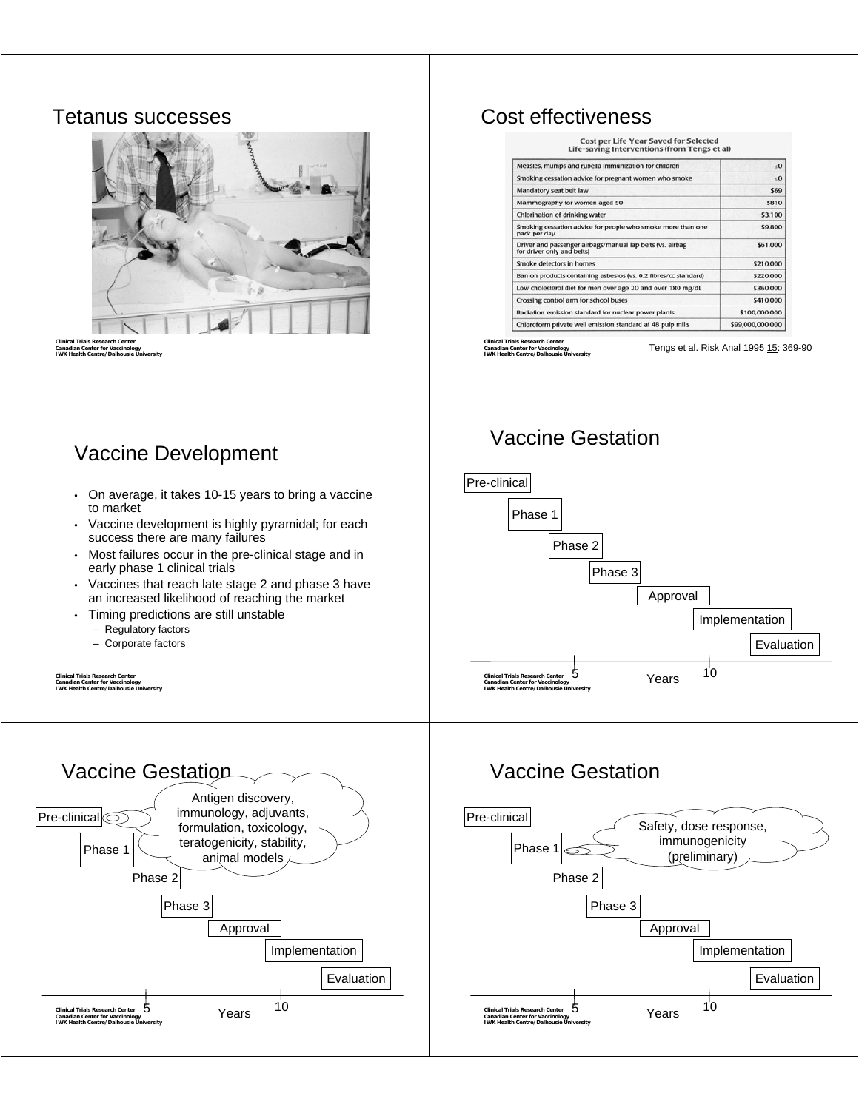#### Tetanus successes



**Clinical Trials Research Center Canadian Center for Vaccinology IWK Health Centre/Dalhousie University**

#### Cost effectiveness

Cost per Life Year Saved for Selected<br>Life-saving Interventions (from Tengs et al)

| Measles, mumps and rubella immunization for children                                    | $\leq 0$         |
|-----------------------------------------------------------------------------------------|------------------|
| Smoking cessation advice for pregnant women who smoke                                   | $\leq 0$         |
| Mandatory seat belt law                                                                 | \$69             |
| Mammography for women aged 50                                                           | \$810            |
| Chlorination of drinking water                                                          | \$3,100          |
| Smoking cessation advice for people who smoke more than one<br>pack per day             | \$9,800          |
| Driver and passenger airbags/manual lap belts (vs. airbag<br>for driver only and belts) | \$61,000         |
| Smoke detectors in homes                                                                | \$210,000        |
| Ban on products containing asbestos (vs. 0.2 fibres/cc standard)                        | \$220,000        |
| Low cholesterol diet for men over age 20 and over 180 mg/dL                             | \$360,000        |
| Crossing control arm for school buses                                                   | \$410,000        |
| Radiation emission standard for nuclear power plants                                    | \$100,000,000    |
| Chloroform private well emission standard at 48 pulp mills                              | \$99,000,000,000 |

**Clinical Trials Research Center Canadian Center for Vaccinology IWK Health Centre/Dalhousie University**

Vaccine Gestation

Tengs et al. Risk Anal 1995 15: 369-90

#### Vaccine Development

- On average, it takes 10-15 years to bring a vaccine to market
- Vaccine development is highly pyramidal; for each success there are many failures
- Most failures occur in the pre-clinical stage and in early phase 1 clinical trials
- Vaccines that reach late stage 2 and phase 3 have an increased likelihood of reaching the market
- Timing predictions are still unstable
	- Regulatory factors
	- Corporate factors

**Clinical Trials Research Center Canadian Center for Vaccinology IWK Health Centre/Dalhousie University**



### Vaccine Gestation



**Clinical Trials Research Center Canadian Center for Vaccinology IWK Health Centre/Dalhousie University** Vaccine Gestation  $\mathsf{Pre\text{-}clinical}$ Phase 1 Phase 2 Phase 3 Implementation Evaluation 5 <sub>Years</sub> <sup>10</sup> Approval Antigen discovery, immunology, adjuvants, formulation, toxicology, teratogenicity, stability, animal models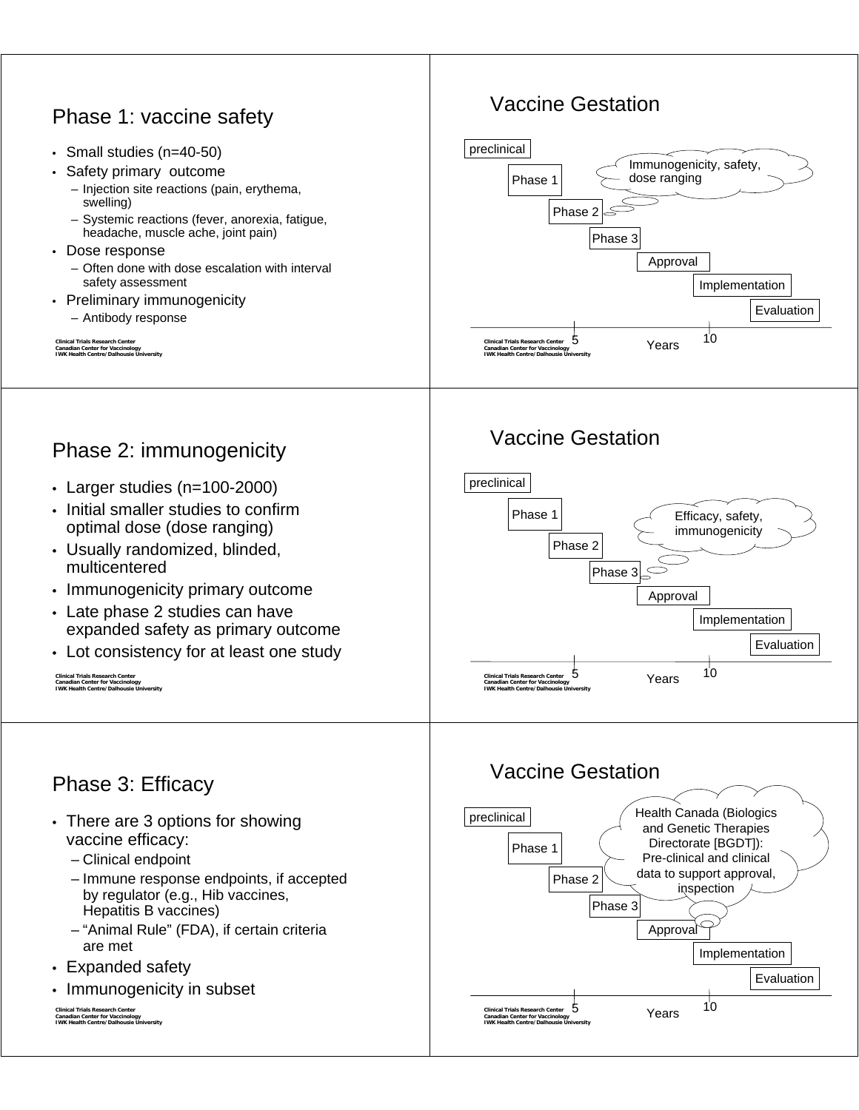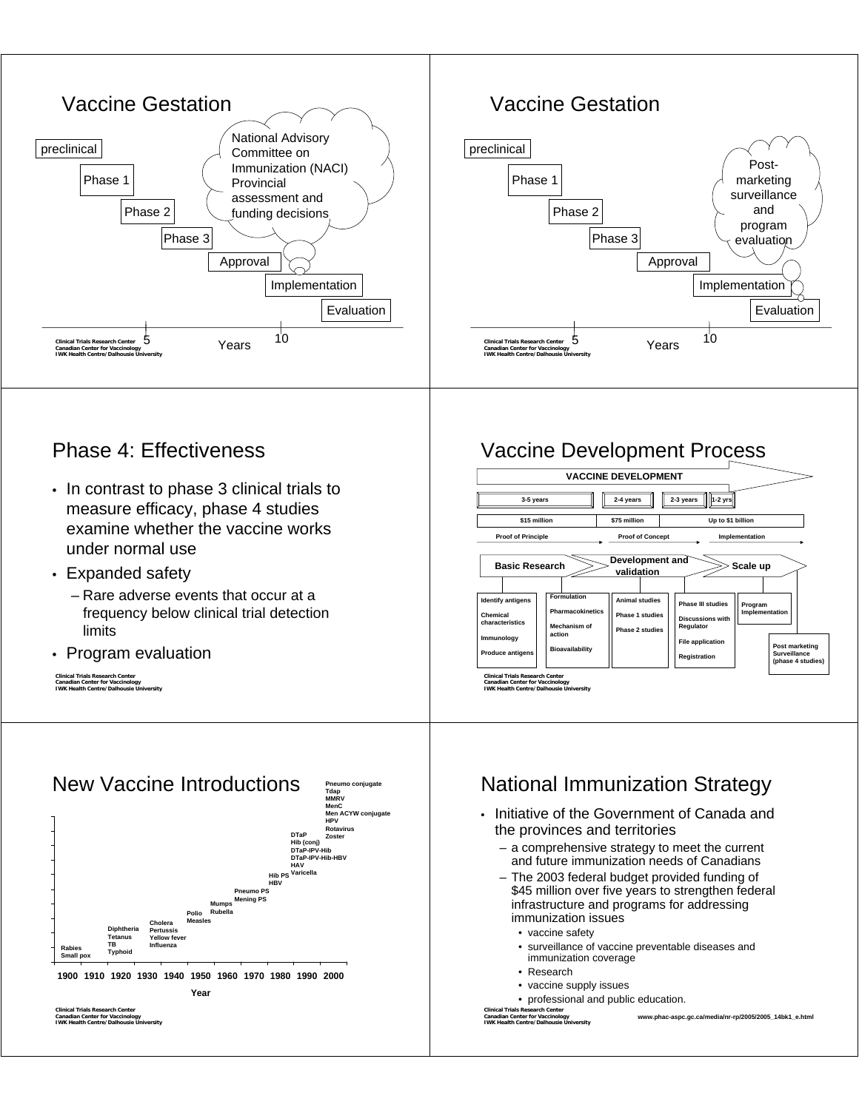





#### Phase 4: Effectiveness

- In contrast to phase 3 clinical trials to measure efficacy, phase 4 studies examine whether the vaccine works under normal use
- Expanded safety
	- Rare adverse events that occur at a frequency below clinical trial detection limits
- Program evaluation





### Vaccine Development Process